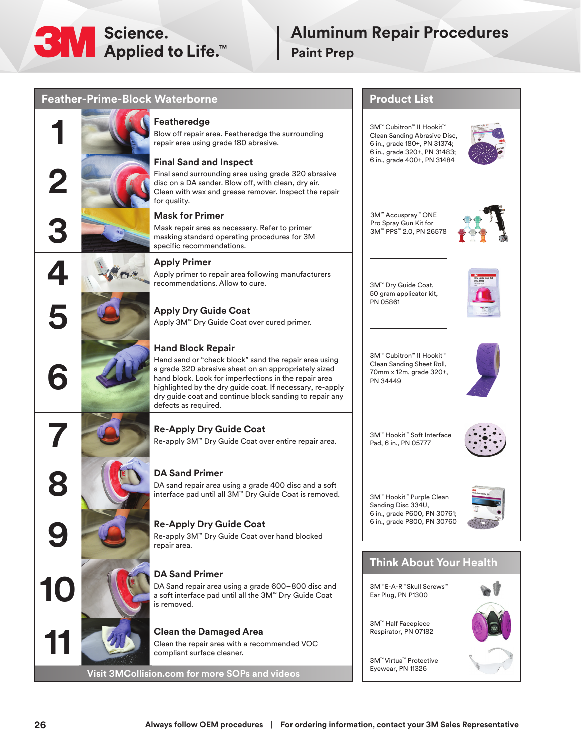

## **Aluminum Repair Procedures Paint Prep**

| <b>Feather-Prime-Block Waterborne</b> |                                                                                                                                                                                                                                                                                                                                                    | <b>Product List</b>                                                                                                      |
|---------------------------------------|----------------------------------------------------------------------------------------------------------------------------------------------------------------------------------------------------------------------------------------------------------------------------------------------------------------------------------------------------|--------------------------------------------------------------------------------------------------------------------------|
|                                       | Featheredge<br>Blow off repair area. Featheredge the surrounding<br>repair area using grade 180 abrasive.                                                                                                                                                                                                                                          | 3M™ Cubitron™ II Hookit™<br>Clean Sanding Abrasive Disc,<br>6 in., grade 180+, PN 31374;<br>6 in., grade 320+, PN 31483; |
|                                       | <b>Final Sand and Inspect</b><br>Final sand surrounding area using grade 320 abrasive<br>disc on a DA sander. Blow off, with clean, dry air.<br>Clean with wax and grease remover. Inspect the repair<br>for quality.                                                                                                                              | 6 in., grade 400+, PN 31484                                                                                              |
|                                       | <b>Mask for Primer</b><br>Mask repair area as necessary. Refer to primer<br>masking standard operating procedures for 3M<br>specific recommendations.                                                                                                                                                                                              | 3M™ Accuspray™ ONE<br>Pro Spray Gun Kit for<br>3M™ PPS™ 2.0, PN 26578                                                    |
|                                       | <b>Apply Primer</b><br>Apply primer to repair area following manufacturers<br>recommendations. Allow to cure.                                                                                                                                                                                                                                      | 3M™ Dry Guide Coat,<br>50 gram applicator kit,<br>PN 05861                                                               |
|                                       | <b>Apply Dry Guide Coat</b><br>Apply 3M™ Dry Guide Coat over cured primer.                                                                                                                                                                                                                                                                         |                                                                                                                          |
|                                       | <b>Hand Block Repair</b><br>Hand sand or "check block" sand the repair area using<br>a grade 320 abrasive sheet on an appropriately sized<br>hand block. Look for imperfections in the repair area<br>highlighted by the dry guide coat. If necessary, re-apply<br>dry guide coat and continue block sanding to repair any<br>defects as required. | 3M™ Cubitron™ II Hookit™<br>Clean Sanding Sheet Roll,<br>70mm x 12m, grade 320+,<br>PN 34449                             |
|                                       | <b>Re-Apply Dry Guide Coat</b><br>Re-apply 3M™ Dry Guide Coat over entire repair area.                                                                                                                                                                                                                                                             | 3M™ Hookit™ Soft Interface<br>Pad, 6 in., PN 05777                                                                       |
|                                       | <b>DA Sand Primer</b><br>DA sand repair area using a grade 400 disc and a soft<br>interface pad until all 3M™ Dry Guide Coat is removed.                                                                                                                                                                                                           | 3M™ Hookit™ Purple Clean<br>Sanding Disc 334U,<br>6 in., grade P600, PN 30761;                                           |
|                                       | <b>Re-Apply Dry Guide Coat</b><br>Re-apply 3M™ Dry Guide Coat over hand blocked<br>repair area.                                                                                                                                                                                                                                                    | 6 in., grade P800, PN 30760                                                                                              |
|                                       | <b>DA Sand Primer</b>                                                                                                                                                                                                                                                                                                                              | <b>Think About Your Health</b>                                                                                           |
| 10                                    | DA Sand repair area using a grade 600-800 disc and<br>a soft interface pad until all the 3M <sup>**</sup> Dry Guide Coat<br>is removed.                                                                                                                                                                                                            | 3M™ E-A-R™ Skull Screws™<br>Ear Plug, PN P1300                                                                           |
|                                       | <b>Clean the Damaged Area</b><br>Clean the repair area with a recommended VOC<br>compliant surface cleaner.                                                                                                                                                                                                                                        | 3M™ Half Facepiece<br>Respirator, PN 07182                                                                               |
|                                       | Visit 3MCollision.com for more SOPs and videos                                                                                                                                                                                                                                                                                                     | 3M™ Virtua™ Protective<br>Eyewear, PN 11326                                                                              |
|                                       |                                                                                                                                                                                                                                                                                                                                                    |                                                                                                                          |